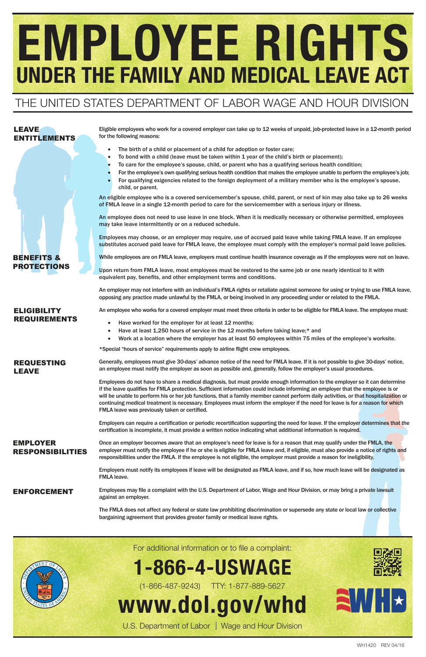# EMPLOYEE RIGHTS UNDER THE FAMILY AND MEDICAL LEAVE ACT

Eligible employees who work for a covered employer can take up to 12 weeks of unpaid, job-protected leave in a 12-month period for the following reasons:

- The birth of a child or placement of a child for adoption or foster care;
- To bond with a child (leave must be taken within 1 year of the child's birth or placement);
- To care for the employee's spouse, child, or parent who has a qualifying serious health condition;
- For the employee's own qualifying serious health condition that makes the employee unable to perform the employee's job;
- For qualifying exigencies related to the foreign deployment of a military member who is the employee's spouse, child, or parent.

Upon return from FMLA leave, most employees must be restored to the same job or one nearly identical to it with equivalent pay, benefits, and other employment terms and conditions.

An eligible employee who is a covered servicemember's spouse, child, parent, or next of kin may also take up to 26 weeks of FMLA leave in a single 12-month period to care for the servicemember with a serious injury or illness.

An employee does not need to use leave in one block. When it is medically necessary or otherwise permitted, employees may take leave intermittently or on a reduced schedule.

- Have worked for the employer for at least 12 months;
- Have at least 1,250 hours of service in the 12 months before taking leave;\* and
- • Work at a location where the employer has at least 50 employees within 75 miles of the employee's worksite.

Employees may choose, or an employer may require, use of accrued paid leave while taking FMLA leave. If an employee substitutes accrued paid leave for FMLA leave, the employee must comply with the employer's normal paid leave policies.

While employees are on FMLA leave, employers must continue health insurance coverage as if the employees were not on leave.

Employees do not have to share a medical diagnosis, but must provide enough information to the employer so it can determine if the leave qualifies for FMLA protection. Sufficient information could include informing an employer that the employee is or will be unable to perform his or her job functions, that a family member cannot perform daily activities, or that hospitalization or continuing medical treatment is necessary. Employees must inform the employer if the need for leave is for a reason for which FMLA leave was previously taken or certified.

Employers can require a certification or periodic recertification supporting the need for leave. If the employer determines that the certiication is incomplete, it must provide a written notice indicating what additional information is required.

An employer may not interfere with an individual's FMLA rights or retaliate against someone for using or trying to use FMLA leave, opposing any practice made unlawful by the FMLA, or being involved in any proceeding under or related to the FMLA.

An employee who works for a covered employer must meet three criteria in order to be eligible for FMLA leave. The employee must:

\*Special "hours of service" requirements apply to airline light crew employees.

Generally, employees must give 30-days' advance notice of the need for FMLA leave. If it is not possible to give 30-days' notice, an employee must notify the employer as soon as possible and, generally, follow the employer's usual procedures.

Once an employer becomes aware that an employee's need for leave is for a reason that may qualify under the FMLA, the employer must notify the employee if he or she is eligible for FMLA leave and, if eligible, must also provide a notice of rights and responsibilities under the FMLA. If the employee is not eligible, the employer must provide a reason for ineligibility.

Employers must notify its employees if leave will be designated as FMLA leave, and if so, how much leave will be designated as FMLA leave.

Employees may ile a complaint with the U.S. Department of Labor, Wage and Hour Division, or may bring a private lawsuit against an employer.

The FMLA does not affect any federal or state law prohibiting discrimination or supersede any state or local law or collective bargaining agreement that provides greater family or medical leave rights.

## LEAVE ENTITLEMENTS

BENEFITS & PROTECTIONS

## ELIGIBILITY REQUIREMENTS



## THE UNITED STATES DEPARTMENT OF LABOR WAGE AND HOUR DIVISION

WH1420 REV 04/16

REQUESTING LEAVE

## EMPLOYER RESPONSIBILITIES

## ENFORCEMENT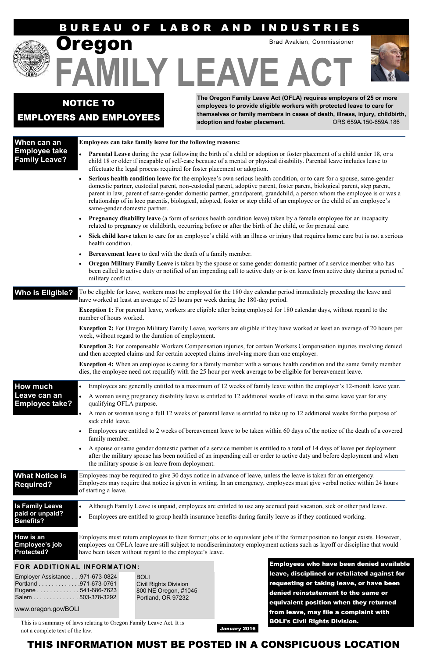## B U R E A U O F L A B O R A N D I N D U S T R I E S



**FAMILY LEAVE ACT** 

**The Oregon Family Leave Act (OFLA) requires employers of 25 or more employees to provide eligible workers with protected leave to care for themselves or family members in cases of death, illness, injury, childbirth, adoption and foster placement.** ORS 659A.150-659A.186

NOTICE TO EMPLOYERS AND EMPLOYEES

regon

Brad Avakian, Commissioner



## **When can an Employee take Family Leave?**

#### **Employees can take family leave for the following reasons:**

 **Parental Leave** during the year following the birth of a child or adoption or foster placement of a child under 18, or a child 18 or older if incapable of self-care because of a mental or physical disability. Parental leave includes leave to effectuate the legal process required for foster placement or adoption.

Who is Eligible? To be eligible for leave, workers must be employed for the 180 day calendar period immediately preceding the leave and have worked at least an average of 25 hours per week during the 180-day period.

- **Serious health condition leave** for the employee's own serious health condition, or to care for a spouse, same-gender domestic partner, custodial parent, non-custodial parent, adoptive parent, foster parent, biological parent, step parent, parent in law, parent of same-gender domestic partner, grandparent, grandchild, a person whom the employee is or was a relationship of in loco parentis, biological, adopted, foster or step child of an employee or the child of an employee's same-gender domestic partner.
- **Pregnancy disability leave** (a form of serious health condition leave) taken by a female employee for an incapacity related to pregnancy or childbirth, occurring before or after the birth of the child, or for prenatal care.
- **Sick child leave** taken to care for an employee's child with an illness or injury that requires home care but is not a serious health condition.
- **Bereavement leave** to deal with the death of a family member.
- **Oregon Military Family Leave** is taken by the spouse or same gender domestic partner of a service member who has been called to active duty or notified of an impending call to active duty or is on leave from active duty during a period of military conflict.

**Exception 1:** For parental leave, workers are eligible after being employed for 180 calendar days, without regard to the number of hours worked.

**Exception 2:** For Oregon Military Family Leave, workers are eligible if they have worked at least an average of 20 hours per week, without regard to the duration of employment.

**Exception 3:** For compensable Workers Compensation injuries, for certain Workers Compensation injuries involving denied and then accepted claims and for certain accepted claims involving more than one employer.

**Exception 4:** When an employee is caring for a family member with a serious health condition and the same family member dies, the employee need not requalify with the 25 hour per week average to be eligible for bereavement leave.

| <b>How much</b>                                               | $\bullet$                                                                                                                                                                                                                                                                                             | Employees are generally entitled to a maximum of 12 weeks of family leave within the employer's 12-month leave year.                                                                                                               |                                                                                                                                                                                                                                                           |  |  |  |
|---------------------------------------------------------------|-------------------------------------------------------------------------------------------------------------------------------------------------------------------------------------------------------------------------------------------------------------------------------------------------------|------------------------------------------------------------------------------------------------------------------------------------------------------------------------------------------------------------------------------------|-----------------------------------------------------------------------------------------------------------------------------------------------------------------------------------------------------------------------------------------------------------|--|--|--|
| Leave can an<br><b>Employee take?</b>                         | $\bullet$<br>qualifying OFLA purpose.                                                                                                                                                                                                                                                                 |                                                                                                                                                                                                                                    | A woman using pregnancy disability leave is entitled to 12 additional weeks of leave in the same leave year for any                                                                                                                                       |  |  |  |
|                                                               |                                                                                                                                                                                                                                                                                                       | A man or woman using a full 12 weeks of parental leave is entitled to take up to 12 additional weeks for the purpose of<br>sick child leave.                                                                                       |                                                                                                                                                                                                                                                           |  |  |  |
|                                                               |                                                                                                                                                                                                                                                                                                       | Employees are entitled to 2 weeks of bereavement leave to be taken within 60 days of the notice of the death of a covered<br>family member.                                                                                        |                                                                                                                                                                                                                                                           |  |  |  |
|                                                               | A spouse or same gender domestic partner of a service member is entitled to a total of 14 days of leave per deployment<br>after the military spouse has been notified of an impending call or order to active duty and before deployment and when<br>the military spouse is on leave from deployment. |                                                                                                                                                                                                                                    |                                                                                                                                                                                                                                                           |  |  |  |
| <b>What Notice is</b><br><b>Required?</b>                     | of starting a leave.                                                                                                                                                                                                                                                                                  |                                                                                                                                                                                                                                    | Employees may be required to give 30 days notice in advance of leave, unless the leave is taken for an emergency.<br>Employers may require that notice is given in writing. In an emergency, employees must give verbal notice within 24 hours            |  |  |  |
| <b>Is Family Leave</b><br>paid or unpaid?<br><b>Benefits?</b> | $\bullet$                                                                                                                                                                                                                                                                                             | Although Family Leave is unpaid, employees are entitled to use any accrued paid vacation, sick or other paid leave.<br>Employees are entitled to group health insurance benefits during family leave as if they continued working. |                                                                                                                                                                                                                                                           |  |  |  |
| How is an<br>Employee's job<br><b>Protected?</b>              |                                                                                                                                                                                                                                                                                                       | have been taken without regard to the employee's leave.                                                                                                                                                                            | Employers must return employees to their former jobs or to equivalent jobs if the former position no longer exists. However,<br>employees on OFLA leave are still subject to nondiscriminatory employment actions such as layoff or discipline that would |  |  |  |
| FOR ADDITIONAL INFORMATION:                                   |                                                                                                                                                                                                                                                                                                       |                                                                                                                                                                                                                                    | Employees who have been denied available                                                                                                                                                                                                                  |  |  |  |
| Employer Assistance971-673-0824                               |                                                                                                                                                                                                                                                                                                       | <b>BOLI</b>                                                                                                                                                                                                                        | leave, disciplined or retaliated against for                                                                                                                                                                                                              |  |  |  |
| Portland 971-673-0761<br>Eugene 541-686-7623                  |                                                                                                                                                                                                                                                                                                       | <b>Civil Rights Division</b><br>800 NE Oregon, #1045                                                                                                                                                                               | requesting or taking leave, or have been<br>denied reinstatement to the same or                                                                                                                                                                           |  |  |  |
| Salem 503-378-3292                                            |                                                                                                                                                                                                                                                                                                       | Portland, OR 97232                                                                                                                                                                                                                 | equivalent position when they returned                                                                                                                                                                                                                    |  |  |  |
| www.oregon.gov/BOLI                                           |                                                                                                                                                                                                                                                                                                       |                                                                                                                                                                                                                                    | from leave, may file a complaint with                                                                                                                                                                                                                     |  |  |  |
|                                                               |                                                                                                                                                                                                                                                                                                       | This is a summary of laws relating to Oregon Family Leave Act. It is                                                                                                                                                               | <b>BOLI's Civil Rights Division.</b>                                                                                                                                                                                                                      |  |  |  |
|                                                               |                                                                                                                                                                                                                                                                                                       |                                                                                                                                                                                                                                    |                                                                                                                                                                                                                                                           |  |  |  |

not a complete text of the law.<br>  $32016$ 

## THIS INFORMATION MUST BE POSTED IN A CONSPICUOUS LOCATION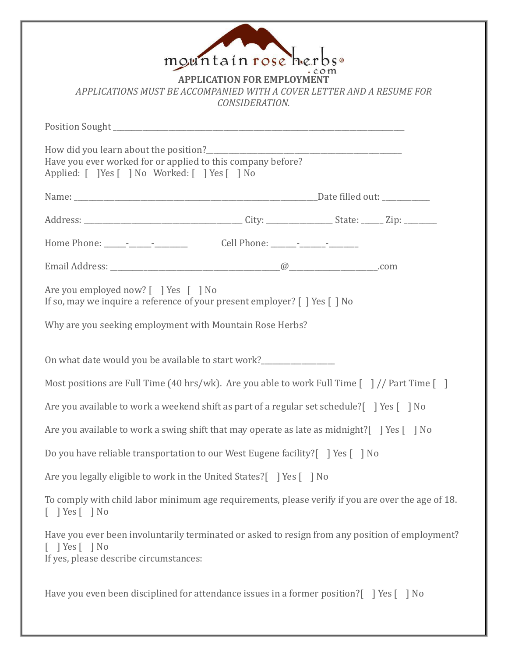| mountain rose herbs.                                                                                                                                                      |  |  |  |  |
|---------------------------------------------------------------------------------------------------------------------------------------------------------------------------|--|--|--|--|
| <b>APPLICATION FOR EMPLOYM</b><br>APPLICATIONS MUST BE ACCOMPANIED WITH A COVER LETTER AND A RESUME FOR<br>CONSIDERATION.                                                 |  |  |  |  |
|                                                                                                                                                                           |  |  |  |  |
| Have you ever worked for or applied to this company before?<br>Applied: [ ] Yes [ ] No Worked: [ ] Yes [ ] No                                                             |  |  |  |  |
|                                                                                                                                                                           |  |  |  |  |
|                                                                                                                                                                           |  |  |  |  |
|                                                                                                                                                                           |  |  |  |  |
|                                                                                                                                                                           |  |  |  |  |
| Are you employed now? [ ] Yes [ ] No<br>If so, may we inquire a reference of your present employer? [ ] Yes [ ] No                                                        |  |  |  |  |
| Why are you seeking employment with Mountain Rose Herbs?                                                                                                                  |  |  |  |  |
| On what date would you be available to start work?                                                                                                                        |  |  |  |  |
| Most positions are Full Time (40 hrs/wk). Are you able to work Full Time $\lceil$ // Part Time $\lceil$ ]                                                                 |  |  |  |  |
| Are you available to work a weekend shift as part of a regular set schedule? [] Yes [] No                                                                                 |  |  |  |  |
| Are you available to work a swing shift that may operate as late as midnight?   Yes [ ] No                                                                                |  |  |  |  |
| Do you have reliable transportation to our West Eugene facility? [ ] Yes [ ] No                                                                                           |  |  |  |  |
| Are you legally eligible to work in the United States?   Yes   No                                                                                                         |  |  |  |  |
| To comply with child labor minimum age requirements, please verify if you are over the age of 18.<br>$\lceil$   Yes $\lceil$   No                                         |  |  |  |  |
| Have you ever been involuntarily terminated or asked to resign from any position of employment?<br>$\lceil$   Yes $\lceil$   No<br>If yes, please describe circumstances: |  |  |  |  |
| Have you even been disciplined for attendance issues in a former position? [ ] Yes [ ] No                                                                                 |  |  |  |  |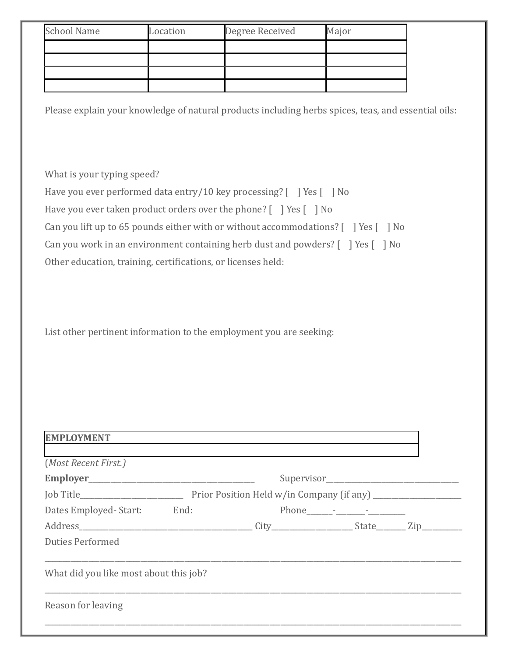| <b>School Name</b> | Location | Degree Received | Major |
|--------------------|----------|-----------------|-------|
|                    |          |                 |       |
|                    |          |                 |       |
|                    |          |                 |       |
|                    |          |                 |       |

Please explain your knowledge of natural products including herbs spices, teas, and essential oils:

What is your typing speed?

Have you ever performed data entry/10 key processing? [ ] Yes [ ] No

Have you ever taken product orders over the phone? [ ] Yes [ ] No

Can you lift up to 65 pounds either with or without accommodations? [ ] Yes [ ] No

Can you work in an environment containing herb dust and powders? [ ] Yes [ ] No

Other education, training, certifications, or licenses held:

List other pertinent information to the employment you are seeking:

| (Most Recent First.)                   |  |  |
|----------------------------------------|--|--|
|                                        |  |  |
|                                        |  |  |
| Dates Employed-Start: End:             |  |  |
|                                        |  |  |
| <b>Duties Performed</b>                |  |  |
| What did you like most about this job? |  |  |
|                                        |  |  |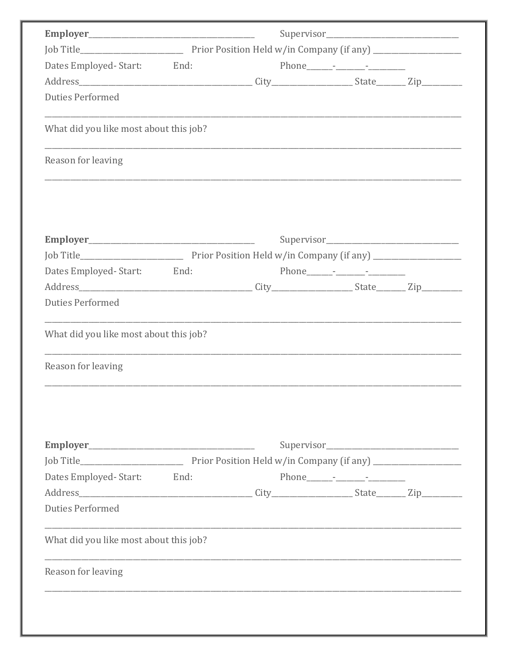| Dates Employed-Start: End:<br><b>Duties Performed</b><br>What did you like most about this job?<br>Reason for leaving<br>Dates Employed-Start: End:<br><b>Duties Performed</b><br>What did you like most about this job?<br>Reason for leaving<br>Dates Employed-Start: End:<br><b>Duties Performed</b><br>What did you like most about this job?<br>Reason for leaving |  |  |  |
|-------------------------------------------------------------------------------------------------------------------------------------------------------------------------------------------------------------------------------------------------------------------------------------------------------------------------------------------------------------------------|--|--|--|
|                                                                                                                                                                                                                                                                                                                                                                         |  |  |  |
|                                                                                                                                                                                                                                                                                                                                                                         |  |  |  |
|                                                                                                                                                                                                                                                                                                                                                                         |  |  |  |
|                                                                                                                                                                                                                                                                                                                                                                         |  |  |  |
|                                                                                                                                                                                                                                                                                                                                                                         |  |  |  |
|                                                                                                                                                                                                                                                                                                                                                                         |  |  |  |
|                                                                                                                                                                                                                                                                                                                                                                         |  |  |  |
|                                                                                                                                                                                                                                                                                                                                                                         |  |  |  |
|                                                                                                                                                                                                                                                                                                                                                                         |  |  |  |
|                                                                                                                                                                                                                                                                                                                                                                         |  |  |  |
|                                                                                                                                                                                                                                                                                                                                                                         |  |  |  |
|                                                                                                                                                                                                                                                                                                                                                                         |  |  |  |
|                                                                                                                                                                                                                                                                                                                                                                         |  |  |  |
|                                                                                                                                                                                                                                                                                                                                                                         |  |  |  |
|                                                                                                                                                                                                                                                                                                                                                                         |  |  |  |
|                                                                                                                                                                                                                                                                                                                                                                         |  |  |  |
|                                                                                                                                                                                                                                                                                                                                                                         |  |  |  |
|                                                                                                                                                                                                                                                                                                                                                                         |  |  |  |
|                                                                                                                                                                                                                                                                                                                                                                         |  |  |  |
|                                                                                                                                                                                                                                                                                                                                                                         |  |  |  |
|                                                                                                                                                                                                                                                                                                                                                                         |  |  |  |
|                                                                                                                                                                                                                                                                                                                                                                         |  |  |  |
|                                                                                                                                                                                                                                                                                                                                                                         |  |  |  |